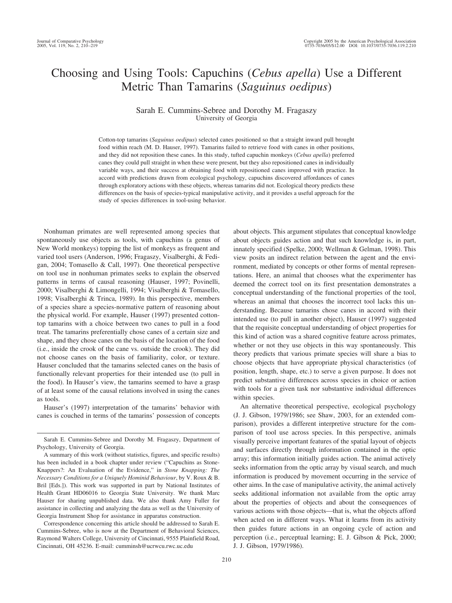# Choosing and Using Tools: Capuchins (*Cebus apella*) Use a Different Metric Than Tamarins (*Saguinus oedipus*)

# Sarah E. Cummins-Sebree and Dorothy M. Fragaszy University of Georgia

Cotton-top tamarins (*Saguinus oedipus*) selected canes positioned so that a straight inward pull brought food within reach (M. D. Hauser, 1997). Tamarins failed to retrieve food with canes in other positions, and they did not reposition these canes. In this study, tufted capuchin monkeys (*Cebus apella*) preferred canes they could pull straight in when these were present, but they also repositioned canes in individually variable ways, and their success at obtaining food with repositioned canes improved with practice. In accord with predictions drawn from ecological psychology, capuchins discovered affordances of canes through exploratory actions with these objects, whereas tamarins did not. Ecological theory predicts these differences on the basis of species-typical manipulative activity, and it provides a useful approach for the study of species differences in tool-using behavior.

Nonhuman primates are well represented among species that spontaneously use objects as tools, with capuchins (a genus of New World monkeys) topping the list of monkeys as frequent and varied tool users (Anderson, 1996; Fragaszy, Visalberghi, & Fedigan, 2004; Tomasello & Call, 1997). One theoretical perspective on tool use in nonhuman primates seeks to explain the observed patterns in terms of causal reasoning (Hauser, 1997; Povinelli, 2000; Visalberghi & Limongelli, 1994; Visalberghi & Tomasello, 1998; Visalberghi & Trinca, 1989). In this perspective, members of a species share a species-normative pattern of reasoning about the physical world. For example, Hauser (1997) presented cottontop tamarins with a choice between two canes to pull in a food treat. The tamarins preferentially chose canes of a certain size and shape, and they chose canes on the basis of the location of the food (i.e., inside the crook of the cane vs. outside the crook). They did not choose canes on the basis of familiarity, color, or texture. Hauser concluded that the tamarins selected canes on the basis of functionally relevant properties for their intended use (to pull in the food). In Hauser's view, the tamarins seemed to have a grasp of at least some of the causal relations involved in using the canes as tools.

Hauser's (1997) interpretation of the tamarins' behavior with canes is couched in terms of the tamarins' possession of concepts

Correspondence concerning this article should be addressed to Sarah E. Cummins-Sebree, who is now at the Department of Behavioral Sciences, Raymond Walters College, University of Cincinnati, 9555 Plainfield Road, Cincinnati, OH 45236. E-mail: cumminsh@ucrwcu.rwc.uc.edu

about objects. This argument stipulates that conceptual knowledge about objects guides action and that such knowledge is, in part, innately specified (Spelke, 2000; Wellman & Gelman, 1998). This view posits an indirect relation between the agent and the environment, mediated by concepts or other forms of mental representations. Here, an animal that chooses what the experimenter has deemed the correct tool on its first presentation demonstrates a conceptual understanding of the functional properties of the tool, whereas an animal that chooses the incorrect tool lacks this understanding. Because tamarins chose canes in accord with their intended use (to pull in another object), Hauser (1997) suggested that the requisite conceptual understanding of object properties for this kind of action was a shared cognitive feature across primates, whether or not they use objects in this way spontaneously. This theory predicts that various primate species will share a bias to choose objects that have appropriate physical characteristics (of position, length, shape, etc.) to serve a given purpose. It does not predict substantive differences across species in choice or action with tools for a given task nor substantive individual differences within species.

An alternative theoretical perspective, ecological psychology (J. J. Gibson, 1979/1986; see Shaw, 2003, for an extended comparison), provides a different interpretive structure for the comparison of tool use across species. In this perspective, animals visually perceive important features of the spatial layout of objects and surfaces directly through information contained in the optic array; this information initially guides action. The animal actively seeks information from the optic array by visual search, and much information is produced by movement occurring in the service of other aims. In the case of manipulative activity, the animal actively seeks additional information not available from the optic array about the properties of objects and about the consequences of various actions with those objects—that is, what the objects afford when acted on in different ways. What it learns from its activity then guides future actions in an ongoing cycle of action and perception (i.e., perceptual learning; E. J. Gibson & Pick, 2000; J. J. Gibson, 1979/1986).

Sarah E. Cummins-Sebree and Dorothy M. Fragaszy, Department of Psychology, University of Georgia.

A summary of this work (without statistics, figures, and specific results) has been included in a book chapter under review ("Capuchins as Stone-Knappers?: An Evaluation of the Evidence," in *Stone Knapping: The Necessary Conditions for a Uniquely Hominid Behaviour*, by V. Roux & B. Bril [Eds.]). This work was supported in part by National Institutes of Health Grant HD06016 to Georgia State University. We thank Marc Hauser for sharing unpublished data. We also thank Amy Fuller for assistance in collecting and analyzing the data as well as the University of Georgia Instrument Shop for assistance in apparatus construction.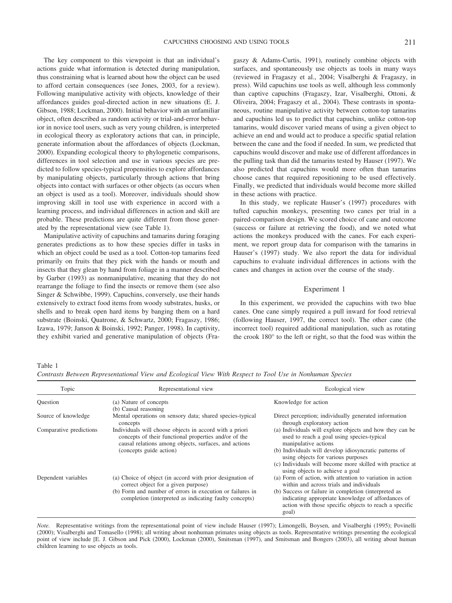The key component to this viewpoint is that an individual's actions guide what information is detected during manipulation, thus constraining what is learned about how the object can be used to afford certain consequences (see Jones, 2003, for a review). Following manipulative activity with objects, knowledge of their affordances guides goal-directed action in new situations (E. J. Gibson, 1988; Lockman, 2000). Initial behavior with an unfamiliar object, often described as random activity or trial-and-error behavior in novice tool users, such as very young children, is interpreted in ecological theory as exploratory actions that can, in principle, generate information about the affordances of objects (Lockman, 2000). Expanding ecological theory to phylogenetic comparisons, differences in tool selection and use in various species are predicted to follow species-typical propensities to explore affordances by manipulating objects, particularly through actions that bring objects into contact with surfaces or other objects (as occurs when an object is used as a tool). Moreover, individuals should show improving skill in tool use with experience in accord with a learning process, and individual differences in action and skill are probable. These predictions are quite different from those generated by the representational view (see Table 1).

Manipulative activity of capuchins and tamarins during foraging generates predictions as to how these species differ in tasks in which an object could be used as a tool. Cotton-top tamarins feed primarily on fruits that they pick with the hands or mouth and insects that they glean by hand from foliage in a manner described by Garber (1993) as nonmanipulative, meaning that they do not rearrange the foliage to find the insects or remove them (see also Singer & Schwibbe, 1999). Capuchins, conversely, use their hands extensively to extract food items from woody substrates, husks, or shells and to break open hard items by banging them on a hard substrate (Boinski, Quatrone, & Schwartz, 2000; Fragaszy, 1986; Izawa, 1979; Janson & Boinski, 1992; Panger, 1998). In captivity, they exhibit varied and generative manipulation of objects (Fragaszy & Adams-Curtis, 1991), routinely combine objects with surfaces, and spontaneously use objects as tools in many ways (reviewed in Fragaszy et al., 2004; Visalberghi & Fragaszy, in press). Wild capuchins use tools as well, although less commonly than captive capuchins (Fragaszy, Izar, Visalberghi, Ottoni, & Oliveira, 2004; Fragaszy et al., 2004). These contrasts in spontaneous, routine manipulative activity between cotton-top tamarins and capuchins led us to predict that capuchins, unlike cotton-top tamarins, would discover varied means of using a given object to achieve an end and would act to produce a specific spatial relation between the cane and the food if needed. In sum, we predicted that capuchins would discover and make use of different affordances in the pulling task than did the tamarins tested by Hauser (1997). We also predicted that capuchins would more often than tamarins choose canes that required repositioning to be used effectively. Finally, we predicted that individuals would become more skilled in these actions with practice.

In this study, we replicate Hauser's (1997) procedures with tufted capuchin monkeys, presenting two canes per trial in a paired-comparison design. We scored choice of cane and outcome (success or failure at retrieving the food), and we noted what actions the monkeys produced with the canes. For each experiment, we report group data for comparison with the tamarins in Hauser's (1997) study. We also report the data for individual capuchins to evaluate individual differences in actions with the canes and changes in action over the course of the study.

#### Experiment 1

In this experiment, we provided the capuchins with two blue canes. One cane simply required a pull inward for food retrieval (following Hauser, 1997, the correct tool). The other cane (the incorrect tool) required additional manipulation, such as rotating the crook 180° to the left or right, so that the food was within the

Table 1

*Contrasts Between Representational View and Ecological View With Respect to Tool Use in Nonhuman Species*

| Topic                   | Representational view                                                                                                                                                                                                   | Ecological view                                                                                                                                                                                                                                                                                                                |  |  |  |
|-------------------------|-------------------------------------------------------------------------------------------------------------------------------------------------------------------------------------------------------------------------|--------------------------------------------------------------------------------------------------------------------------------------------------------------------------------------------------------------------------------------------------------------------------------------------------------------------------------|--|--|--|
| <b>Ouestion</b>         | (a) Nature of concepts<br>(b) Causal reasoning                                                                                                                                                                          | Knowledge for action                                                                                                                                                                                                                                                                                                           |  |  |  |
| Source of knowledge     | Mental operations on sensory data; shared species-typical<br>concepts                                                                                                                                                   | Direct perception; individually generated information<br>through exploratory action                                                                                                                                                                                                                                            |  |  |  |
| Comparative predictions | Individuals will choose objects in accord with a priori<br>concepts of their functional properties and/or of the<br>causal relations among objects, surfaces, and actions<br>(concepts guide action)                    | (a) Individuals will explore objects and how they can be<br>used to reach a goal using species-typical<br>manipulative actions<br>(b) Individuals will develop idiosyncratic patterns of<br>using objects for various purposes<br>(c) Individuals will become more skilled with practice at<br>using objects to achieve a goal |  |  |  |
| Dependent variables     | (a) Choice of object (in accord with prior designation of<br>correct object for a given purpose)<br>(b) Form and number of errors in execution or failures in<br>completion (interpreted as indicating faulty concepts) | (a) Form of action, with attention to variation in action<br>within and across trials and individuals<br>(b) Success or failure in completion (interpreted as<br>indicating appropriate knowledge of affordances of<br>action with those specific objects to reach a specific<br>goal)                                         |  |  |  |

*Note.* Representative writings from the representational point of view include Hauser (1997); Limongelli, Boysen, and Visalberghi (1995); Povinelli (2000); Visalberghi and Tomasello (1998); all writing about nonhuman primates using objects as tools. Representative writings presenting the ecological point of view include [E. J. Gibson and Pick (2000), Lockman (2000), Smitsman (1997), and Smitsman and Bongers (2003), all writing about human children learning to use objects as tools.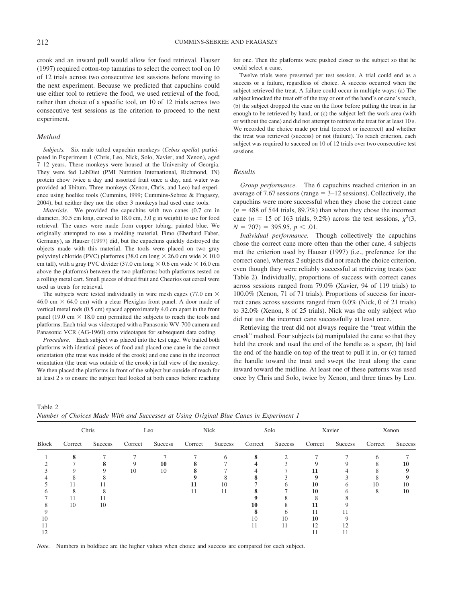crook and an inward pull would allow for food retrieval. Hauser (1997) required cotton-top tamarins to select the correct tool on 10 of 12 trials across two consecutive test sessions before moving to the next experiment. Because we predicted that capuchins could use either tool to retrieve the food, we used retrieval of the food, rather than choice of a specific tool, on 10 of 12 trials across two consecutive test sessions as the criterion to proceed to the next experiment.

### *Method*

*Subjects.* Six male tufted capuchin monkeys (*Cebus apella*) participated in Experiment 1 (Chris, Leo, Nick, Solo, Xavier, and Xenon), aged 7–12 years. These monkeys were housed at the University of Georgia. They were fed LabDiet (PMI Nutrition International, Richmond, IN) protein chow twice a day and assorted fruit once a day, and water was provided ad libitum. Three monkeys (Xenon, Chris, and Leo) had experience using hoelike tools (Cummins, l999; Cummins-Sebree & Fragaszy, 2004), but neither they nor the other 3 monkeys had used cane tools.

*Materials.* We provided the capuchins with two canes (0.7 cm in diameter, 30.5 cm long, curved to 18.0 cm, 3.0 g in weight) to use for food retrieval. The canes were made from copper tubing, painted blue. We originally attempted to use a molding material, Fimo (Eberhard Faber, Germany), as Hauser (1997) did, but the capuchins quickly destroyed the objects made with this material. The tools were placed on two gray polyvinyl chloride (PVC) platforms (38.0 cm long  $\times$  26.0 cm wide  $\times$  10.0 cm tall), with a gray PVC divider (37.0 cm long  $\times$  0.6 cm wide  $\times$  16.0 cm above the platforms) between the two platforms; both platforms rested on a rolling metal cart. Small pieces of dried fruit and Cheerios oat cereal were used as treats for retrieval.

The subjects were tested individually in wire mesh cages (77.0 cm  $\times$ 46.0 cm  $\times$  64.0 cm) with a clear Plexiglas front panel. A door made of vertical metal rods (0.5 cm) spaced approximately 4.0 cm apart in the front panel (19.0 cm  $\times$  18.0 cm) permitted the subjects to reach the tools and platforms. Each trial was videotaped with a Panasonic WV-700 camera and Panasonic VCR (AG-1960) onto videotapes for subsequent data coding.

*Procedure.* Each subject was placed into the test cage. We baited both platforms with identical pieces of food and placed one cane in the correct orientation (the treat was inside of the crook) and one cane in the incorrect orientation (the treat was outside of the crook) in full view of the monkey. We then placed the platforms in front of the subject but outside of reach for at least 2 s to ensure the subject had looked at both canes before reaching

for one. Then the platforms were pushed closer to the subject so that he could select a cane.

Twelve trials were presented per test session. A trial could end as a success or a failure, regardless of choice. A success occurred when the subject retrieved the treat. A failure could occur in multiple ways: (a) The subject knocked the treat off of the tray or out of the hand's or cane's reach, (b) the subject dropped the cane on the floor before pulling the treat in far enough to be retrieved by hand, or (c) the subject left the work area (with or without the cane) and did not attempt to retrieve the treat for at least 10 s. We recorded the choice made per trial (correct or incorrect) and whether the treat was retrieved (success) or not (failure). To reach criterion, each subject was required to succeed on 10 of 12 trials over two consecutive test sessions.

#### *Results*

*Group performance.* The 6 capuchins reached criterion in an average of 7.67 sessions (range  $= 3 - 12$  sessions). Collectively, the capuchins were more successful when they chose the correct cane  $(n = 488$  of 544 trials, 89.7%) than when they chose the incorrect cane (*n* = 15 of 163 trials, 9.2%) across the test sessions,  $\chi^2(3,$  $N = 707$ ) = 395.95,  $p < .01$ .

*Individual performance.* Though collectively the capuchins chose the correct cane more often than the other cane, 4 subjects met the criterion used by Hauser (1997) (i.e., preference for the correct cane), whereas 2 subjects did not reach the choice criterion, even though they were reliably successful at retrieving treats (see Table 2). Individually, proportions of success with correct canes across sessions ranged from 79.0% (Xavier, 94 of 119 trials) to 100.0% (Xenon, 71 of 71 trials). Proportions of success for incorrect canes across sessions ranged from 0.0% (Nick, 0 of 21 trials) to 32.0% (Xenon, 8 of 25 trials). Nick was the only subject who did not use the incorrect cane successfully at least once.

Retrieving the treat did not always require the "treat within the crook" method. Four subjects (a) manipulated the cane so that they held the crook and used the end of the handle as a spear, (b) laid the end of the handle on top of the treat to pull it in, or (c) turned the handle toward the treat and swept the treat along the cane inward toward the midline. At least one of these patterns was used once by Chris and Solo, twice by Xenon, and three times by Leo.

| Table 2                                                                                |  |  |
|----------------------------------------------------------------------------------------|--|--|
| Number of Choices Made With and Successes at Using Original Blue Canes in Experiment 1 |  |  |

|       | Chris   |                | Leo     |         | Nick    |         | Solo    |         | Xavier  |                | Xenon   |                |
|-------|---------|----------------|---------|---------|---------|---------|---------|---------|---------|----------------|---------|----------------|
| Block | Correct | <b>Success</b> | Correct | Success | Correct | Success | Correct | Success | Correct | <b>Success</b> | Correct | <b>Success</b> |
|       | 8       |                |         |         |         | 6       | 8       |         |         |                |         |                |
|       |         |                | 9       | 10      |         |         |         |         |         |                | δ.      | 10             |
|       |         |                | 10      | 10      |         |         |         |         |         |                |         | 9              |
|       | δ       |                |         |         |         | ົ       |         |         |         |                |         |                |
|       | 11      |                |         |         |         | 10      |         | h       | 10      | n              | 10      | 10             |
|       | 8       |                |         |         |         | 11      |         |         | 10      |                | 8       | 10             |
|       | 11      |                |         |         |         |         |         |         |         |                |         |                |
|       | 10      | 10             |         |         |         |         | 10      |         |         |                |         |                |
| 9     |         |                |         |         |         |         |         | o       |         |                |         |                |
| 10    |         |                |         |         |         |         | 10      | 10      | 10      |                |         |                |
|       |         |                |         |         |         |         |         | 11      | 12      |                |         |                |
| 12    |         |                |         |         |         |         |         |         | 11      | 11             |         |                |

*Note.* Numbers in boldface are the higher values when choice and success are compared for each subject.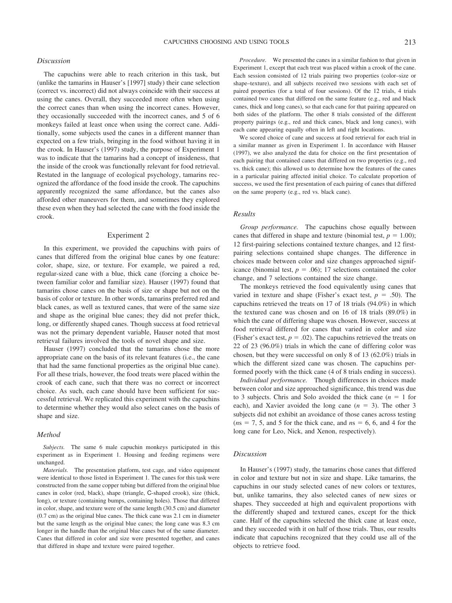## *Discussion*

The capuchins were able to reach criterion in this task, but (unlike the tamarins in Hauser's [1997] study) their cane selection (correct vs. incorrect) did not always coincide with their success at using the canes. Overall, they succeeded more often when using the correct canes than when using the incorrect canes. However, they occasionally succeeded with the incorrect canes, and 5 of 6 monkeys failed at least once when using the correct cane. Additionally, some subjects used the canes in a different manner than expected on a few trials, bringing in the food without having it in the crook. In Hauser's (1997) study, the purpose of Experiment 1 was to indicate that the tamarins had a concept of insideness, that the inside of the crook was functionally relevant for food retrieval. Restated in the language of ecological psychology, tamarins recognized the affordance of the food inside the crook. The capuchins apparently recognized the same affordance, but the canes also afforded other maneuvers for them, and sometimes they explored these even when they had selected the cane with the food inside the crook.

### Experiment 2

In this experiment, we provided the capuchins with pairs of canes that differed from the original blue canes by one feature: color, shape, size, or texture. For example, we paired a red, regular-sized cane with a blue, thick cane (forcing a choice between familiar color and familiar size). Hauser (1997) found that tamarins chose canes on the basis of size or shape but not on the basis of color or texture. In other words, tamarins preferred red and black canes, as well as textured canes, that were of the same size and shape as the original blue canes; they did not prefer thick, long, or differently shaped canes. Though success at food retrieval was not the primary dependent variable, Hauser noted that most retrieval failures involved the tools of novel shape and size.

Hauser (1997) concluded that the tamarins chose the more appropriate cane on the basis of its relevant features (i.e., the cane that had the same functional properties as the original blue cane). For all these trials, however, the food treats were placed within the crook of each cane, such that there was no correct or incorrect choice. As such, each cane should have been sufficient for successful retrieval. We replicated this experiment with the capuchins to determine whether they would also select canes on the basis of shape and size.

## *Method*

*Subjects.* The same 6 male capuchin monkeys participated in this experiment as in Experiment 1. Housing and feeding regimens were unchanged.

*Materials.* The presentation platform, test cage, and video equipment were identical to those listed in Experiment 1. The canes for this task were constructed from the same copper tubing but differed from the original blue canes in color (red, black), shape (triangle, C-shaped crook), size (thick, long), or texture (containing bumps, containing holes). Those that differed in color, shape, and texture were of the same length (30.5 cm) and diameter (0.7 cm) as the original blue canes. The thick cane was 2.1 cm in diameter but the same length as the original blue canes; the long cane was 8.3 cm longer in the handle than the original blue canes but of the same diameter. Canes that differed in color and size were presented together, and canes that differed in shape and texture were paired together.

*Procedure.* We presented the canes in a similar fashion to that given in Experiment 1, except that each treat was placed within a crook of the cane. Each session consisted of 12 trials pairing two properties (color–size or shape–texture), and all subjects received two sessions with each set of paired properties (for a total of four sessions). Of the 12 trials, 4 trials contained two canes that differed on the same feature (e.g., red and black canes, thick and long canes), so that each cane for that pairing appeared on both sides of the platform. The other 8 trials consisted of the different property pairings (e.g., red and thick canes, black and long canes), with each cane appearing equally often in left and right locations.

We scored choice of cane and success at food retrieval for each trial in a similar manner as given in Experiment 1. In accordance with Hauser (1997), we also analyzed the data for choice on the first presentation of each pairing that contained canes that differed on two properties (e.g., red vs. thick cane); this allowed us to determine how the features of the canes in a particular pairing affected initial choice. To calculate proportion of success, we used the first presentation of each pairing of canes that differed on the same property (e.g., red vs. black cane).

### *Results*

*Group performance.* The capuchins chose equally between canes that differed in shape and texture (binomial test,  $p = 1.00$ ); 12 first-pairing selections contained texture changes, and 12 firstpairing selections contained shape changes. The difference in choices made between color and size changes approached significance (binomial test,  $p = .06$ ); 17 selections contained the color change, and 7 selections contained the size change.

The monkeys retrieved the food equivalently using canes that varied in texture and shape (Fisher's exact test,  $p = .50$ ). The capuchins retrieved the treats on 17 of 18 trials (94.0%) in which the textured cane was chosen and on 16 of 18 trials (89.0%) in which the cane of differing shape was chosen. However, success at food retrieval differed for canes that varied in color and size (Fisher's exact test,  $p = .02$ ). The capuchins retrieved the treats on 22 of 23 (96.0%) trials in which the cane of differing color was chosen, but they were successful on only 8 of 13 (62.0%) trials in which the different sized cane was chosen. The capuchins performed poorly with the thick cane (4 of 8 trials ending in success).

*Individual performance.* Though differences in choices made between color and size approached significance, this trend was due to 3 subjects. Chris and Solo avoided the thick cane  $(n = 1$  for each), and Xavier avoided the long cane  $(n = 3)$ . The other 3 subjects did not exhibit an avoidance of those canes across testing  $(n s = 7, 5, and 5 for the thick can, and  $ns = 6, 6, and 4 for the$$ long cane for Leo, Nick, and Xenon, respectively).

#### *Discussion*

In Hauser's (1997) study, the tamarins chose canes that differed in color and texture but not in size and shape. Like tamarins, the capuchins in our study selected canes of new colors or textures, but, unlike tamarins, they also selected canes of new sizes or shapes. They succeeded at high and equivalent proportions with the differently shaped and textured canes, except for the thick cane. Half of the capuchins selected the thick cane at least once, and they succeeded with it on half of those trials. Thus, our results indicate that capuchins recognized that they could use all of the objects to retrieve food.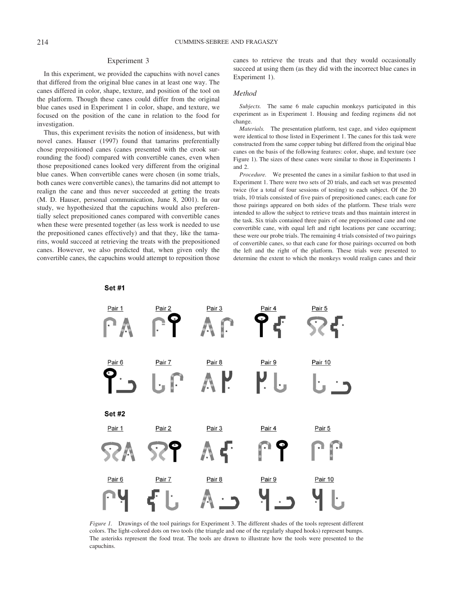## Experiment 3

In this experiment, we provided the capuchins with novel canes that differed from the original blue canes in at least one way. The canes differed in color, shape, texture, and position of the tool on the platform. Though these canes could differ from the original blue canes used in Experiment 1 in color, shape, and texture, we focused on the position of the cane in relation to the food for investigation.

Thus, this experiment revisits the notion of insideness, but with novel canes. Hauser (1997) found that tamarins preferentially chose prepositioned canes (canes presented with the crook surrounding the food) compared with convertible canes, even when those prepositioned canes looked very different from the original blue canes. When convertible canes were chosen (in some trials, both canes were convertible canes), the tamarins did not attempt to realign the cane and thus never succeeded at getting the treats (M. D. Hauser, personal communication, June 8, 2001). In our study, we hypothesized that the capuchins would also preferentially select prepositioned canes compared with convertible canes when these were presented together (as less work is needed to use the prepositioned canes effectively) and that they, like the tamarins, would succeed at retrieving the treats with the prepositioned canes. However, we also predicted that, when given only the convertible canes, the capuchins would attempt to reposition those canes to retrieve the treats and that they would occasionally succeed at using them (as they did with the incorrect blue canes in Experiment 1).

#### *Method*

*Subjects.* The same 6 male capuchin monkeys participated in this experiment as in Experiment 1. Housing and feeding regimens did not change.

*Materials.* The presentation platform, test cage, and video equipment were identical to those listed in Experiment 1. The canes for this task were constructed from the same copper tubing but differed from the original blue canes on the basis of the following features: color, shape, and texture (see Figure 1). The sizes of these canes were similar to those in Experiments 1 and 2.

*Procedure.* We presented the canes in a similar fashion to that used in Experiment 1. There were two sets of 20 trials, and each set was presented twice (for a total of four sessions of testing) to each subject. Of the 20 trials, 10 trials consisted of five pairs of prepositioned canes; each cane for those pairings appeared on both sides of the platform. These trials were intended to allow the subject to retrieve treats and thus maintain interest in the task. Six trials contained three pairs of one prepositioned cane and one convertible cane, with equal left and right locations per cane occurring; these were our probe trials. The remaining 4 trials consisted of two pairings of convertible canes, so that each cane for those pairings occurred on both the left and the right of the platform. These trials were presented to determine the extent to which the monkeys would realign canes and their



*Figure 1.* Drawings of the tool pairings for Experiment 3. The different shades of the tools represent different colors. The light-colored dots on two tools (the triangle and one of the regularly shaped hooks) represent bumps. The asterisks represent the food treat. The tools are drawn to illustrate how the tools were presented to the capuchins.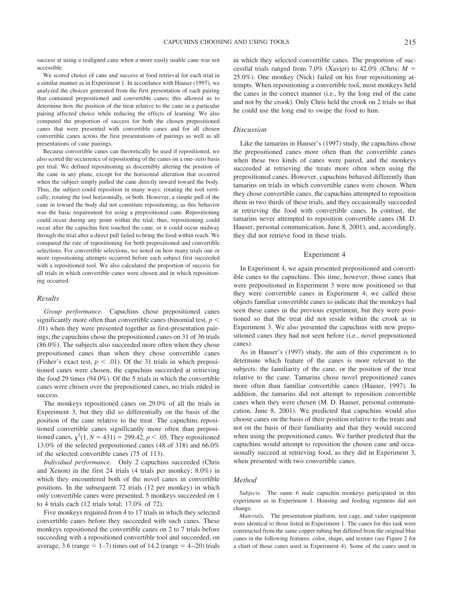success at using a realigned cane when a more easily usable cane was not accessible.

We scored choice of cane and success at food retrieval for each trial in a similar manner as in Experiment 1. In accordance with Hauser (1997), we analyzed the choices generated from the first presentation of each pairing that contained prepositioned and convertible canes; this allowed us to determine how the position of the treat relative to the cane in a particular pairing affected choice while reducing the effects of learning. We also computed the proportion of success for both the chosen prepositioned canes that were presented with convertible canes and for all chosen convertible canes across the first presentations of pairings as well as all presentations of cane pairings.

Because convertible canes can theoretically be used if repositioned, we also scored the occurrence of repositioning of the canes on a one–zero basis per trial. We defined repositioning as discernibly altering the position of the cane in any plane, except for the horizontal alteration that occurred when the subject simply pulled the cane directly inward toward the body. Thus, the subject could reposition in many ways: rotating the tool vertically, rotating the tool horizontally, or both. However, a simple pull of the cane in toward the body did not constitute repositioning, as this behavior was the basic requirement for using a prepositioned cane. Repositioning could occur during any point within the trial; thus, repositioning could occur after the capuchin first touched the cane, or it could occur midway through the trial after a direct pull failed to bring the food within reach. We compared the rate of repositioning for both prepositioned and convertible selections. For convertible selections, we noted on how many trials one or more repositioning attempts occurred before each subject first succeeded with a repositioned tool. We also calculated the proportion of success for all trials in which convertible canes were chosen and in which repositioning occurred.

#### *Results*

*Group performance.* Capuchins chose prepositioned canes significantly more often than convertible canes (binomial test,  $p <$ .01) when they were presented together as first-presentation pairings; the capuchins chose the prepositioned canes on 31 of 36 trials (86.0%). The subjects also succeeded more often when they chose prepositioned canes than when they chose convertible canes (Fisher's exact test,  $p < .01$ ). Of the 31 trials in which prepositioned canes were chosen, the capuchins succeeded at retrieving the food 29 times (94.0%). Of the 5 trials in which the convertible canes were chosen over the prepositioned canes, no trials ended in success.

The monkeys repositioned canes on 29.0% of all the trials in Experiment 3, but they did so differentially on the basis of the position of the cane relative to the treat. The capuchins repositioned convertible canes significantly more often than prepositioned canes,  $\chi^2(1, N = 431) = 299.42, p < .05$ . They repositioned 13.0% of the selected prepositioned canes (48 of 318) and 66.0% of the selected convertible canes (75 of 113).

*Individual performance.* Only 2 capuchins succeeded (Chris and Xenon) in the first 24 trials (4 trials per monkey; 8.0%) in which they encountered both of the novel canes in convertible positions. In the subsequent 72 trials (12 per monkey) in which only convertible canes were presented, 5 monkeys succeeded on 1 to 4 trials each (12 trials total; 17.0% of 72).

Five monkeys required from 4 to 17 trials in which they selected convertible canes before they succeeded with such canes. These monkeys repositioned the convertible canes on 2 to 7 trials before succeeding with a repositioned convertible tool and succeeded, on average, 3.6 (range =  $1-7$ ) times out of 14.2 (range =  $4-20$ ) trials

in which they selected convertible canes. The proportion of successful trials ranged from 7.0% (Xavier) to  $42.0\%$  (Chris;  $M =$ 25.0%). One monkey (Nick) failed on his four repositioning attempts. When repositioning a convertible tool, most monkeys held the canes in the correct manner (i.e., by the long end of the cane and not by the crook). Only Chris held the crook on 2 trials so that he could use the long end to swipe the food to him.

# *Discussion*

Like the tamarins in Hauser's (1997) study, the capuchins chose the prepositioned canes more often than the convertible canes when these two kinds of canes were paired, and the monkeys succeeded at retrieving the treats more often when using the prepositioned canes. However, capuchins behaved differently than tamarins on trials in which convertible canes were chosen. When they chose convertible canes, the capuchins attempted to reposition them in two thirds of these trials, and they occasionally succeeded at retrieving the food with convertible canes. In contrast, the tamarins never attempted to reposition convertible canes (M. D. Hauser, personal communication, June 8, 2001), and, accordingly, they did not retrieve food in these trials.

### Experiment 4

In Experiment 4, we again presented prepositioned and convertible canes to the capuchins. This time, however, those canes that were prepositioned in Experiment 3 were now positioned so that they were convertible canes in Experiment 4; we called these objects familiar convertible canes to indicate that the monkeys had seen these canes in the previous experiment, but they were positioned so that the treat did not reside within the crook as in Experiment 3. We also presented the capuchins with new prepositioned canes they had not seen before (i.e., novel prepositioned canes).

As in Hauser's (1997) study, the aim of this experiment is to determine which feature of the canes is more relevant to the subjects: the familiarity of the cane, or the position of the treat relative to the cane. Tamarins chose novel prepositioned canes more often than familiar convertible canes (Hauser, 1997). In addition, the tamarins did not attempt to reposition convertible canes when they were chosen (M. D. Hauser, personal communication, June 8, 2001). We predicted that capuchins would also choose canes on the basis of their position relative to the treats and not on the basis of their familiarity and that they would succeed when using the prepositioned canes. We further predicted that the capuchins would attempt to reposition the chosen cane and occasionally succeed at retrieving food, as they did in Experiment 3, when presented with two convertible canes.

#### *Method*

*Subjects.* The same 6 male capuchin monkeys participated in this experiment as in Experiment 1. Housing and feeding regimens did not change.

*Materials.* The presentation platform, test cage, and video equipment were identical to those listed in Experiment 1. The canes for this task were constructed from the same copper tubing but differed from the original blue canes in the following features: color, shape, and texture (see Figure 2 for a chart of those canes used in Experiment 4). Some of the canes used in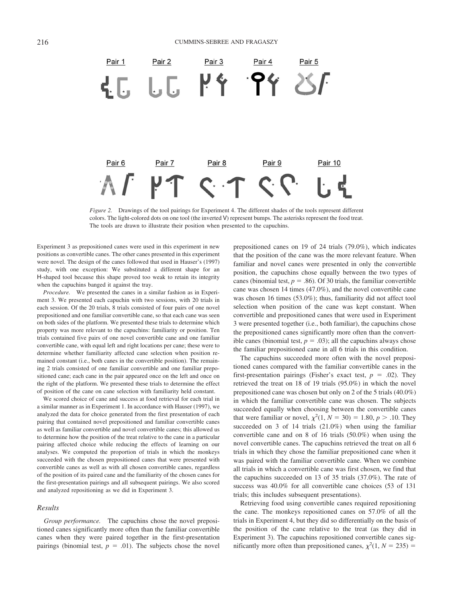

*Figure 2.* Drawings of the tool pairings for Experiment 4. The different shades of the tools represent different colors. The light-colored dots on one tool (the inverted V) represent bumps. The asterisks represent the food treat. The tools are drawn to illustrate their position when presented to the capuchins.

Experiment 3 as prepositioned canes were used in this experiment in new positions as convertible canes. The other canes presented in this experiment were novel. The design of the canes followed that used in Hauser's (1997) study, with one exception: We substituted a different shape for an H-shaped tool because this shape proved too weak to retain its integrity when the capuchins banged it against the tray.

*Procedure.* We presented the canes in a similar fashion as in Experiment 3. We presented each capuchin with two sessions, with 20 trials in each session. Of the 20 trials, 8 trials consisted of four pairs of one novel prepositioned and one familiar convertible cane, so that each cane was seen on both sides of the platform. We presented these trials to determine which property was more relevant to the capuchins: familiarity or position. Ten trials contained five pairs of one novel convertible cane and one familiar convertible cane, with equal left and right locations per cane; these were to determine whether familiarity affected cane selection when position remained constant (i.e., both canes in the convertible position). The remaining 2 trials consisted of one familiar convertible and one familiar prepositioned cane; each cane in the pair appeared once on the left and once on the right of the platform. We presented these trials to determine the effect of position of the cane on cane selection with familiarity held constant.

We scored choice of cane and success at food retrieval for each trial in a similar manner as in Experiment 1. In accordance with Hauser (1997), we analyzed the data for choice generated from the first presentation of each pairing that contained novel prepositioned and familiar convertible canes as well as familiar convertible and novel convertible canes; this allowed us to determine how the position of the treat relative to the cane in a particular pairing affected choice while reducing the effects of learning on our analyses. We computed the proportion of trials in which the monkeys succeeded with the chosen prepositioned canes that were presented with convertible canes as well as with all chosen convertible canes, regardless of the position of its paired cane and the familiarity of the chosen canes for the first-presentation pairings and all subsequent pairings. We also scored and analyzed repositioning as we did in Experiment 3.

#### *Results*

*Group performance.* The capuchins chose the novel prepositioned canes significantly more often than the familiar convertible canes when they were paired together in the first-presentation pairings (binomial test,  $p = .01$ ). The subjects chose the novel

prepositioned canes on 19 of 24 trials (79.0%), which indicates that the position of the cane was the more relevant feature. When familiar and novel canes were presented in only the convertible position, the capuchins chose equally between the two types of canes (binomial test,  $p = .86$ ). Of 30 trials, the familiar convertible cane was chosen 14 times (47.0%), and the novel convertible cane was chosen 16 times (53.0%); thus, familiarity did not affect tool selection when position of the cane was kept constant. When convertible and prepositioned canes that were used in Experiment 3 were presented together (i.e., both familiar), the capuchins chose the prepositioned canes significantly more often than the convertible canes (binomial test,  $p = .03$ ); all the capuchins always chose the familiar prepositioned cane in all 6 trials in this condition.

The capuchins succeeded more often with the novel prepositioned canes compared with the familiar convertible canes in the first-presentation pairings (Fisher's exact test,  $p = .02$ ). They retrieved the treat on 18 of 19 trials (95.0%) in which the novel prepositioned cane was chosen but only on 2 of the 5 trials (40.0%) in which the familiar convertible cane was chosen. The subjects succeeded equally when choosing between the convertible canes that were familiar or novel,  $\chi^2(1, N = 30) = 1.80, p > .10$ . They succeeded on 3 of 14 trials (21.0%) when using the familiar convertible cane and on 8 of 16 trials (50.0%) when using the novel convertible canes. The capuchins retrieved the treat on all 6 trials in which they chose the familiar prepositioned cane when it was paired with the familiar convertible cane. When we combine all trials in which a convertible cane was first chosen, we find that the capuchins succeeded on 13 of 35 trials (37.0%). The rate of success was 40.0% for all convertible cane choices (53 of 131 trials; this includes subsequent presentations).

Retrieving food using convertible canes required repositioning the cane. The monkeys repositioned canes on 57.0% of all the trials in Experiment 4, but they did so differentially on the basis of the position of the cane relative to the treat (as they did in Experiment 3). The capuchins repositioned convertible canes significantly more often than prepositioned canes,  $\chi^2(1, N = 235)$  =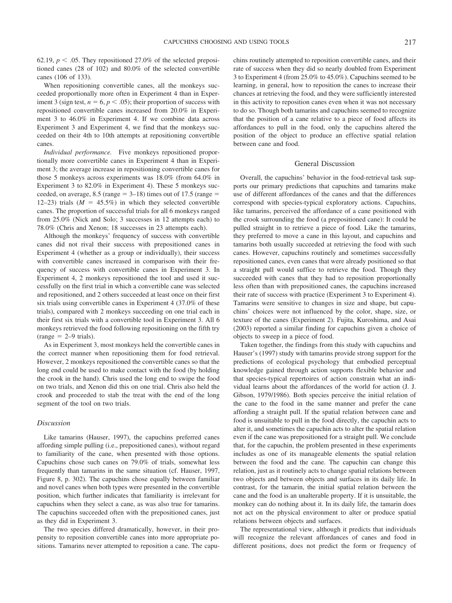62.19,  $p < .05$ . They repositioned 27.0% of the selected prepositioned canes (28 of 102) and 80.0% of the selected convertible canes (106 of 133).

When repositioning convertible canes, all the monkeys succeeded proportionally more often in Experiment 4 than in Experiment 3 (sign test,  $n = 6$ ,  $p < .05$ ); their proportion of success with repositioned convertible canes increased from 20.0% in Experiment 3 to 46.0% in Experiment 4. If we combine data across Experiment 3 and Experiment 4, we find that the monkeys succeeded on their 4th to 10th attempts at repositioning convertible canes.

*Individual performance.* Five monkeys repositioned proportionally more convertible canes in Experiment 4 than in Experiment 3; the average increase in repositioning convertible canes for those 5 monkeys across experiments was 18.0% (from 64.0% in Experiment 3 to 82.0% in Experiment 4). These 5 monkeys succeeded, on average, 8.5 (range  $=$  3–18) times out of 17.5 (range  $=$ 12–23) trials  $(M = 45.5\%)$  in which they selected convertible canes. The proportion of successful trials for all 6 monkeys ranged from 25.0% (Nick and Solo; 3 successes in 12 attempts each) to 78.0% (Chris and Xenon; 18 successes in 23 attempts each).

Although the monkeys' frequency of success with convertible canes did not rival their success with prepositioned canes in Experiment 4 (whether as a group or individually), their success with convertible canes increased in comparison with their frequency of success with convertible canes in Experiment 3. In Experiment 4, 2 monkeys repositioned the tool and used it successfully on the first trial in which a convertible cane was selected and repositioned, and 2 others succeeded at least once on their first six trials using convertible canes in Experiment 4 (37.0% of these trials), compared with 2 monkeys succeeding on one trial each in their first six trials with a convertible tool in Experiment 3. All 6 monkeys retrieved the food following repositioning on the fifth try  $(range = 2-9 \text{ trials})$ .

As in Experiment 3, most monkeys held the convertible canes in the correct manner when repositioning them for food retrieval. However, 2 monkeys repositioned the convertible canes so that the long end could be used to make contact with the food (by holding the crook in the hand). Chris used the long end to swipe the food on two trials, and Xenon did this on one trial. Chris also held the crook and proceeded to stab the treat with the end of the long segment of the tool on two trials.

# *Discussion*

Like tamarins (Hauser, 1997), the capuchins preferred canes affording simple pulling (i.e., prepositioned canes), without regard to familiarity of the cane, when presented with those options. Capuchins chose such canes on 79.0% of trials, somewhat less frequently than tamarins in the same situation (cf. Hauser, 1997, Figure 8, p. 302). The capuchins chose equally between familiar and novel canes when both types were presented in the convertible position, which further indicates that familiarity is irrelevant for capuchins when they select a cane, as was also true for tamarins. The capuchins succeeded often with the prepositioned canes, just as they did in Experiment 3.

The two species differed dramatically, however, in their propensity to reposition convertible canes into more appropriate positions. Tamarins never attempted to reposition a cane. The capuchins routinely attempted to reposition convertible canes, and their rate of success when they did so nearly doubled from Experiment 3 to Experiment 4 (from 25.0% to 45.0%). Capuchins seemed to be learning, in general, how to reposition the canes to increase their chances at retrieving the food, and they were sufficiently interested in this activity to reposition canes even when it was not necessary to do so. Though both tamarins and capuchins seemed to recognize that the position of a cane relative to a piece of food affects its affordances to pull in the food, only the capuchins altered the position of the object to produce an effective spatial relation between cane and food.

## General Discussion

Overall, the capuchins' behavior in the food-retrieval task supports our primary predictions that capuchins and tamarins make use of different affordances of the canes and that the differences correspond with species-typical exploratory actions. Capuchins, like tamarins, perceived the affordance of a cane positioned with the crook surrounding the food (a prepositioned cane): It could be pulled straight in to retrieve a piece of food. Like the tamarins, they preferred to move a cane in this layout, and capuchins and tamarins both usually succeeded at retrieving the food with such canes. However, capuchins routinely and sometimes successfully repositioned canes, even canes that were already positioned so that a straight pull would suffice to retrieve the food. Though they succeeded with canes that they had to reposition proportionally less often than with prepositioned canes, the capuchins increased their rate of success with practice (Experiment 3 to Experiment 4). Tamarins were sensitive to changes in size and shape, but capuchins' choices were not influenced by the color, shape, size, or texture of the canes (Experiment 2). Fujita, Kuroshima, and Asai (2003) reported a similar finding for capuchins given a choice of objects to sweep in a piece of food.

Taken together, the findings from this study with capuchins and Hauser's (1997) study with tamarins provide strong support for the predictions of ecological psychology that embodied perceptual knowledge gained through action supports flexible behavior and that species-typical repertoires of action constrain what an individual learns about the affordances of the world for action (J. J. Gibson, 1979/1986). Both species perceive the initial relation of the cane to the food in the same manner and prefer the cane affording a straight pull. If the spatial relation between cane and food is unsuitable to pull in the food directly, the capuchin acts to alter it, and sometimes the capuchin acts to alter the spatial relation even if the cane was prepositioned for a straight pull. We conclude that, for the capuchin, the problem presented in these experiments includes as one of its manageable elements the spatial relation between the food and the cane. The capuchin can change this relation, just as it routinely acts to change spatial relations between two objects and between objects and surfaces in its daily life. In contrast, for the tamarin, the initial spatial relation between the cane and the food is an unalterable property. If it is unsuitable, the monkey can do nothing about it. In its daily life, the tamarin does not act on the physical environment to alter or produce spatial relations between objects and surfaces.

The representational view, although it predicts that individuals will recognize the relevant affordances of canes and food in different positions, does not predict the form or frequency of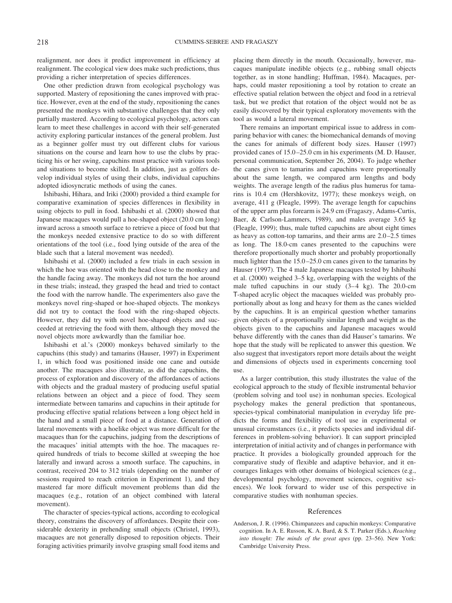realignment, nor does it predict improvement in efficiency at realignment. The ecological view does make such predictions, thus providing a richer interpretation of species differences.

One other prediction drawn from ecological psychology was supported. Mastery of repositioning the canes improved with practice. However, even at the end of the study, repositioning the canes presented the monkeys with substantive challenges that they only partially mastered. According to ecological psychology, actors can learn to meet these challenges in accord with their self-generated activity exploring particular instances of the general problem. Just as a beginner golfer must try out different clubs for various situations on the course and learn how to use the clubs by practicing his or her swing, capuchins must practice with various tools and situations to become skilled. In addition, just as golfers develop individual styles of using their clubs, individual capuchins adopted idiosyncratic methods of using the canes.

Ishibashi, Hihara, and Iriki (2000) provided a third example for comparative examination of species differences in flexibility in using objects to pull in food. Ishibashi et al. (2000) showed that Japanese macaques would pull a hoe-shaped object (20.0 cm long) inward across a smooth surface to retrieve a piece of food but that the monkeys needed extensive practice to do so with different orientations of the tool (i.e., food lying outside of the area of the blade such that a lateral movement was needed).

Ishibashi et al. (2000) included a few trials in each session in which the hoe was oriented with the head close to the monkey and the handle facing away. The monkeys did not turn the hoe around in these trials; instead, they grasped the head and tried to contact the food with the narrow handle. The experimenters also gave the monkeys novel ring-shaped or hoe-shaped objects. The monkeys did not try to contact the food with the ring-shaped objects. However, they did try with novel hoe-shaped objects and succeeded at retrieving the food with them, although they moved the novel objects more awkwardly than the familiar hoe.

Ishibashi et al.'s (2000) monkeys behaved similarly to the capuchins (this study) and tamarins (Hauser, 1997) in Experiment 1, in which food was positioned inside one cane and outside another. The macaques also illustrate, as did the capuchins, the process of exploration and discovery of the affordances of actions with objects and the gradual mastery of producing useful spatial relations between an object and a piece of food. They seem intermediate between tamarins and capuchins in their aptitude for producing effective spatial relations between a long object held in the hand and a small piece of food at a distance. Generation of lateral movements with a hoelike object was more difficult for the macaques than for the capuchins, judging from the descriptions of the macaques' initial attempts with the hoe. The macaques required hundreds of trials to become skilled at sweeping the hoe laterally and inward across a smooth surface. The capuchins, in contrast, received 204 to 312 trials (depending on the number of sessions required to reach criterion in Experiment 1), and they mastered far more difficult movement problems than did the macaques (e.g., rotation of an object combined with lateral movement).

The character of species-typical actions, according to ecological theory, constrains the discovery of affordances. Despite their considerable dexterity in prehending small objects (Christel, 1993), macaques are not generally disposed to reposition objects. Their foraging activities primarily involve grasping small food items and placing them directly in the mouth. Occasionally, however, macaques manipulate inedible objects (e.g., rubbing small objects together, as in stone handling; Huffman, 1984). Macaques, perhaps, could master repositioning a tool by rotation to create an effective spatial relation between the object and food in a retrieval task, but we predict that rotation of the object would not be as easily discovered by their typical exploratory movements with the tool as would a lateral movement.

There remains an important empirical issue to address in comparing behavior with canes: the biomechanical demands of moving the canes for animals of different body sizes. Hauser (1997) provided canes of 15.0 –25.0 cm in his experiments (M. D. Hauser, personal communication, September 26, 2004). To judge whether the canes given to tamarins and capuchins were proportionally about the same length, we compared arm lengths and body weights. The average length of the radius plus humerus for tamarins is 10.4 cm (Hershkovitz, 1977); these monkeys weigh, on average, 411 g (Fleagle, 1999). The average length for capuchins of the upper arm plus forearm is 24.9 cm (Fragaszy, Adams-Curtis, Baer, & Carlson-Lammers, 1989), and males average 3.65 kg (Fleagle, 1999); thus, male tufted capuchins are about eight times as heavy as cotton-top tamarins, and their arms are 2.0 –2.5 times as long. The 18.0-cm canes presented to the capuchins were therefore proportionally much shorter and probably proportionally much lighter than the 15.0–25.0 cm canes given to the tamarins by Hauser (1997). The 4 male Japanese macaques tested by Ishibashi et al. (2000) weighed 3–5 kg, overlapping with the weights of the male tufted capuchins in our study  $(3-4 \text{ kg})$ . The 20.0-cm T-shaped acrylic object the macaques wielded was probably proportionally about as long and heavy for them as the canes wielded by the capuchins. It is an empirical question whether tamarins given objects of a proportionally similar length and weight as the objects given to the capuchins and Japanese macaques would behave differently with the canes than did Hauser's tamarins. We hope that the study will be replicated to answer this question. We also suggest that investigators report more details about the weight and dimensions of objects used in experiments concerning tool use.

As a larger contribution, this study illustrates the value of the ecological approach to the study of flexible instrumental behavior (problem solving and tool use) in nonhuman species. Ecological psychology makes the general prediction that spontaneous, species-typical combinatorial manipulation in everyday life predicts the forms and flexibility of tool use in experimental or unusual circumstances (i.e., it predicts species and individual differences in problem-solving behavior). It can support principled interpretation of initial activity and of changes in performance with practice. It provides a biologically grounded approach for the comparative study of flexible and adaptive behavior, and it encourages linkages with other domains of biological sciences (e.g., developmental psychology, movement sciences, cognitive sciences). We look forward to wider use of this perspective in comparative studies with nonhuman species.

#### References

Anderson, J. R. (1996). Chimpanzees and capuchin monkeys: Comparative cognition. In A. E. Russon, K. A. Bard, & S. T. Parker (Eds.), *Reaching into thought: The minds of the great apes* (pp. 23–56). New York: Cambridge University Press.